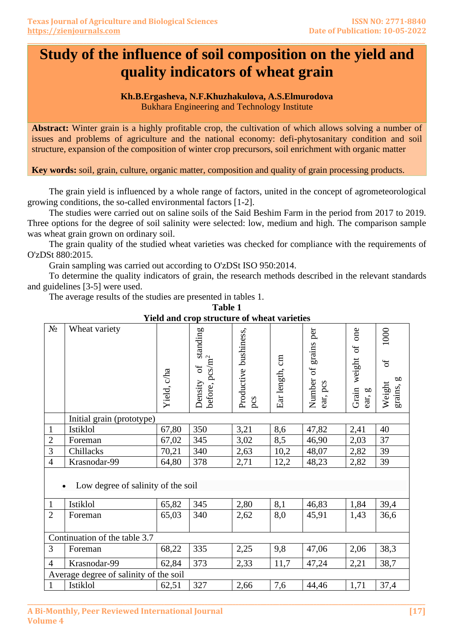# **Study of the influence of soil composition on the yield and quality indicators of wheat grain**

**\_\_\_\_\_\_\_\_\_\_\_\_\_\_\_\_\_\_\_\_\_\_\_\_\_\_\_\_\_\_\_\_\_\_\_\_\_\_\_\_\_\_\_\_\_\_\_\_\_\_\_\_\_\_\_\_\_\_\_\_\_\_\_\_\_\_\_\_\_\_\_\_\_\_\_\_\_\_\_\_\_\_\_\_\_\_\_\_\_\_\_\_\_\_\_\_\_\_\_\_\_\_\_\_\_\_\_\_\_\_\_\_\_\_\_\_\_\_\_\_\_\_\_\_\_\_\_\_\_\_\_\_\_\_**

# **Kh.B.Ergasheva, N.F.Khuzhakulova, A.S.Elmurodova**

Bukhara Engineering and Technology Institute

**Abstract:** Winter grain is a highly profitable crop, the cultivation of which allows solving a number of issues and problems of agriculture and the national economy: defi-phytosanitary condition and soil structure, expansion of the composition of winter crop precursors, soil enrichment with organic matter

**Key words:** soil, grain, culture, organic matter, composition and quality of grain processing products.

The grain yield is influenced by a whole range of factors, united in the concept of agrometeorological growing conditions, the so-called environmental factors [1-2].

The studies were carried out on saline soils of the Said Beshim Farm in the period from 2017 to 2019. Three options for the degree of soil salinity were selected: low, medium and high. The comparison sample was wheat grain grown on ordinary soil.

The grain quality of the studied wheat varieties was checked for compliance with the requirements of O'zDSt 880:2015.

Grain sampling was carried out according to O'zDSt ISO 950:2014.

To determine the quality indicators of grain, the research methods described in the relevant standards and guidelines [3-5] were used.

The average results of the studies are presented in tables 1.

| $N_{\Omega}$                           | Wheat variety             | Yield, c/ha | standing<br>before, pcs/m <sup>2</sup><br>$\sigma$<br>Density | Productive bushiness,<br>pcs | Ear length, cm | per<br>grains<br>ðf<br>Number<br>ear, pcs | one<br>$\sigma$<br>weight<br>Grain<br>ear, g | 1000<br>$\sigma$ f<br>grains, g<br>Weight |  |  |
|----------------------------------------|---------------------------|-------------|---------------------------------------------------------------|------------------------------|----------------|-------------------------------------------|----------------------------------------------|-------------------------------------------|--|--|
|                                        | Initial grain (prototype) |             |                                                               |                              |                |                                           |                                              |                                           |  |  |
| $\mathbf{1}$                           | Istiklol                  | 67,80       | 350                                                           | 3,21                         | 8,6            | 47,82                                     | 2,41                                         | 40                                        |  |  |
| $\overline{2}$                         | Foreman                   | 67,02       | 345                                                           | 3,02                         | 8,5            | 46,90                                     | 2,03                                         | 37                                        |  |  |
| $\overline{3}$                         | Chillacks                 | 70,21       | 340                                                           | 2,63                         | 10,2           | 48,07                                     | 2,82                                         | 39                                        |  |  |
| $\overline{4}$                         | Krasnodar-99              | 64,80       | 378                                                           | 2,71                         | 12,2           | 48,23                                     | 2,82                                         | 39                                        |  |  |
| Low degree of salinity of the soil     |                           |             |                                                               |                              |                |                                           |                                              |                                           |  |  |
| $\mathbf{1}$                           | Istiklol                  | 65,82       | 345                                                           | 2,80                         | 8,1            | 46,83                                     | 1,84                                         | 39,4                                      |  |  |
| $\overline{2}$                         | Foreman                   | 65,03       | 340                                                           | 2,62                         | 8,0            | 45,91                                     | 1,43                                         | 36,6                                      |  |  |
| Continuation of the table 3.7          |                           |             |                                                               |                              |                |                                           |                                              |                                           |  |  |
| 3                                      | Foreman                   | 68,22       | 335                                                           | 2,25                         | 9,8            | 47,06                                     | 2,06                                         | 38,3                                      |  |  |
| $\overline{4}$                         | Krasnodar-99              | 62,84       | 373                                                           | 2,33                         | 11,7           | 47,24                                     | 2,21                                         | 38,7                                      |  |  |
| Average degree of salinity of the soil |                           |             |                                                               |                              |                |                                           |                                              |                                           |  |  |
| $\mathbf{1}$                           | Istiklol                  | 62,51       | 327                                                           | 2,66                         | 7,6            | 44,46                                     | 1,71                                         | 37,4                                      |  |  |

**Table 1 Yield and crop structure of wheat varieties**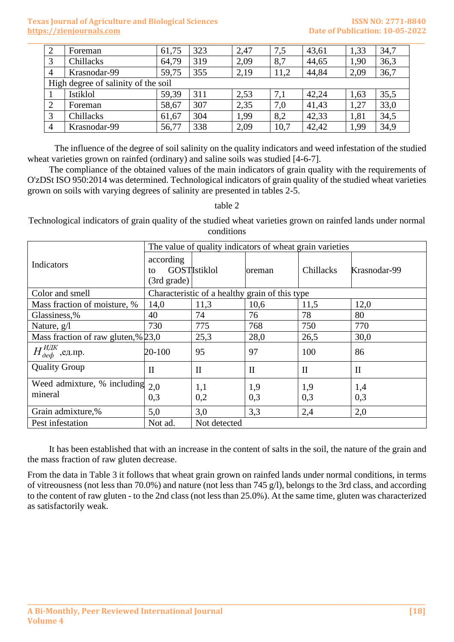### **Texas Journal of Agriculture and Biological Sciences ISSN NO: 2771-8840 [https://zienjournals.com](https://zienjournals.com/) Date of Publication: 10-05-2022**

| 2                                   | Foreman      | 61,75 | 323 | 2,47 | 7,5  | 43,61 | 1,33 | 34,7 |
|-------------------------------------|--------------|-------|-----|------|------|-------|------|------|
| 3                                   | Chillacks    | 64,79 | 319 | 2,09 | 8,7  | 44,65 | 1,90 | 36,3 |
| 4                                   | Krasnodar-99 | 59,75 | 355 | 2,19 | 11,2 | 44,84 | 2,09 | 36,7 |
| High degree of salinity of the soil |              |       |     |      |      |       |      |      |
|                                     | Istiklol     | 59,39 | 311 | 2,53 | 7,1  | 42,24 | 1,63 | 35,5 |
| ↑                                   | Foreman      | 58,67 | 307 | 2,35 | 7,0  | 41,43 | 1,27 | 33,0 |
| 3                                   | Chillacks    | 61,67 | 304 | 1,99 | 8,2  | 42,33 | 1,81 | 34,5 |
| 4                                   | Krasnodar-99 | 56,77 | 338 | 2,09 | 10,7 | 42,42 | 1,99 | 34,9 |

The influence of the degree of soil salinity on the quality indicators and weed infestation of the studied wheat varieties grown on rainfed (ordinary) and saline soils was studied [4-6-7].

The compliance of the obtained values of the main indicators of grain quality with the requirements of O'zDSt ISO 950:2014 was determined. Technological indicators of grain quality of the studied wheat varieties grown on soils with varying degrees of salinity are presented in tables 2-5.

table 2

Technological indicators of grain quality of the studied wheat varieties grown on rainfed lands under normal conditions

|                                        | The value of quality indicators of wheat grain varieties |                      |               |              |              |  |  |
|----------------------------------------|----------------------------------------------------------|----------------------|---------------|--------------|--------------|--|--|
| Indicators                             | according<br>to<br>(3rd grade)                           | <b>GOSTI</b> stiklol | <b>oreman</b> | Chillacks    | Krasnodar-99 |  |  |
| Color and smell                        | Characteristic of a healthy grain of this type           |                      |               |              |              |  |  |
| Mass fraction of moisture, %           | 14,0                                                     | 11,3                 | 10,6          | 11,5         | 12,0         |  |  |
| Glassiness,%                           | 40                                                       | 74                   | 76            | 78           | 80           |  |  |
| Nature, $g/l$                          | 730                                                      | 775                  | 768           | 750          | 770          |  |  |
| Mass fraction of raw gluten,% 23,0     |                                                          | 25,3                 | 28,0          | 26,5         | 30,0         |  |  |
| $H_{\partial e\phi}^{H\!J\!K}$ ,ед.пр. | $20 - 100$                                               | 95                   | 97            | 100          | 86           |  |  |
| <b>Quality Group</b>                   | $\mathbf{I}$                                             | $\mathbf{I}$         | $\mathbf{I}$  | $\mathbf{I}$ | $\mathbf{I}$ |  |  |
| Weed admixture, % including<br>mineral | 2,0<br>0,3                                               | 1,1<br>0,2           | 1,9<br>0,3    | 1,9<br>0,3   | 1,4<br>0,3   |  |  |
| Grain admixture,%                      | 5,0                                                      | 3,0                  | 3,3           | 2,4          | 2,0          |  |  |
| Pest infestation                       | Not ad.                                                  | Not detected         |               |              |              |  |  |

It has been established that with an increase in the content of salts in the soil, the nature of the grain and the mass fraction of raw gluten decrease.

From the data in Table 3 it follows that wheat grain grown on rainfed lands under normal conditions, in terms of vitreousness (not less than 70.0%) and nature (not less than 745 g/l), belongs to the 3rd class, and according to the content of raw gluten - to the 2nd class (not less than 25.0%). At the same time, gluten was characterized as satisfactorily weak.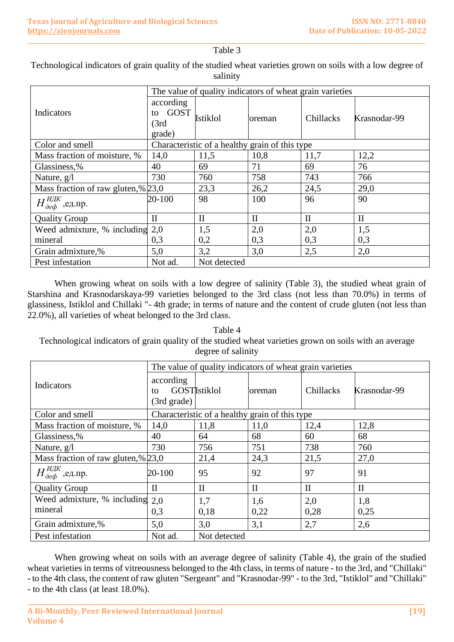#### **\_\_\_\_\_\_\_\_\_\_\_\_\_\_\_\_\_\_\_\_\_\_\_\_\_\_\_\_\_\_\_\_\_\_\_\_\_\_\_\_\_\_\_\_\_\_\_\_\_\_\_\_\_\_\_\_\_\_\_\_\_\_\_\_\_\_\_\_\_\_\_\_\_\_\_\_\_\_\_\_\_\_\_\_\_\_\_\_\_\_\_\_\_\_\_\_\_\_\_\_\_\_\_\_\_\_\_\_\_\_\_\_\_\_\_\_\_\_\_\_\_\_\_\_\_\_\_\_\_\_\_\_\_\_** Table 3

## Technological indicators of grain quality of the studied wheat varieties grown on soils with a low degree of salinity

|                                        | The value of quality indicators of wheat grain varieties |                 |                |              |              |  |  |
|----------------------------------------|----------------------------------------------------------|-----------------|----------------|--------------|--------------|--|--|
| Indicators                             | according<br><b>GOST</b><br>to<br>(3rd)<br>grade)        | <b>Istiklol</b> | <b>Soreman</b> | Chillacks    | Krasnodar-99 |  |  |
| Color and smell                        | Characteristic of a healthy grain of this type           |                 |                |              |              |  |  |
| Mass fraction of moisture, %           | 14,0                                                     | 11,5            | 10,8           | 11,7         | 12,2         |  |  |
| Glassiness,%                           | 40                                                       | 69              | 71             | 69           | 76           |  |  |
| Nature, $g/l$                          | 730                                                      | 760             | 758            | 743          | 766          |  |  |
| Mass fraction of raw gluten, % $23,0$  |                                                          | 23,3            | 26,2           | 24,5         | 29,0         |  |  |
| $H_{\partial e\phi}^{H\!J\!K}$ ,ед.пр. | 20-100                                                   | 98              | 100            | 96           | 90           |  |  |
| <b>Quality Group</b>                   | $\mathbf{I}$                                             | $\mathbf{I}$    | $\mathbf{I}$   | $\mathbf{I}$ | $\mathbf{I}$ |  |  |
| Weed admixture, % including            | 2,0                                                      | 1,5             | 2,0            | 2,0          | 1,5          |  |  |
| mineral                                | 0,3                                                      | 0,2             | 0,3            | 0,3          | 0,3          |  |  |
| Grain admixture,%                      | 5,0                                                      | 3,2             | 3,0            | 2,5          | 2,0          |  |  |
| Pest infestation                       | Not ad.                                                  | Not detected    |                |              |              |  |  |

When growing wheat on soils with a low degree of salinity (Table 3), the studied wheat grain of Starshina and Krasnodarskaya-99 varieties belonged to the 3rd class (not less than 70.0%) in terms of glassiness, Istiklol and Chillaki "- 4th grade; in terms of nature and the content of crude gluten (not less than 22.0%), all varieties of wheat belonged to the 3rd class.

Table 4 Technological indicators of grain quality of the studied wheat varieties grown on soils with an average degree of salinity

|                                        | The value of quality indicators of wheat grain varieties |                     |               |              |              |  |  |
|----------------------------------------|----------------------------------------------------------|---------------------|---------------|--------------|--------------|--|--|
| Indicators                             | according<br>to<br>$(3rd \text{ grade})$                 | <b>GOSTIstiklol</b> | <b>oreman</b> | Chillacks    | Krasnodar-99 |  |  |
| Color and smell                        | Characteristic of a healthy grain of this type           |                     |               |              |              |  |  |
| Mass fraction of moisture, %           | 14,0                                                     | 11,8                | 11,0          | 12,4         | 12,8         |  |  |
| Glassiness,%                           | 40                                                       | 64                  | 68            | 60           | 68           |  |  |
| Nature, g/l                            | 730                                                      | 756                 | 751           | 738          | 760          |  |  |
| Mass fraction of raw gluten, % $23,0$  |                                                          | 21,4                | 24,3          | 21,5         | 27,0         |  |  |
| $H_{\partial e\phi}^{H\!J\!K}$ ,ед.пр. | 20-100                                                   | 95                  | 92            | 97           | 91           |  |  |
| <b>Quality Group</b>                   | $\mathbf{I}$                                             | $\mathbf{I}$        | $\mathbf{I}$  | $\mathbf{I}$ | $\mathbf{I}$ |  |  |
| Weed admixture, % including            | 2.0                                                      | 1,7                 | 1,6           | 2,0          | 1,8          |  |  |
| mineral                                | 0,3                                                      | 0,18                | 0,22          | 0,28         | 0,25         |  |  |
| Grain admixture,%                      | 5,0                                                      | 3,0                 | 3,1           | 2,7          | 2,6          |  |  |
| Pest infestation                       | Not ad.                                                  | Not detected        |               |              |              |  |  |

When growing wheat on soils with an average degree of salinity (Table 4), the grain of the studied wheat varieties in terms of vitreousness belonged to the 4th class, in terms of nature - to the 3rd, and "Chillaki" - to the 4th class, the content of raw gluten "Sergeant" and "Krasnodar-99" - to the 3rd, "Istiklol" and "Chillaki" - to the 4th class (at least 18.0%).

**\_\_\_\_\_\_\_\_\_\_\_\_\_\_\_\_\_\_\_\_\_\_\_\_\_\_\_\_\_\_\_\_\_\_\_\_\_\_\_\_\_\_\_\_\_\_\_\_\_\_\_\_\_\_\_\_\_\_\_\_\_\_\_\_\_\_\_\_\_\_\_\_\_\_\_\_\_\_\_\_\_\_\_\_\_\_\_\_\_\_\_\_\_\_\_\_\_\_\_\_\_\_\_\_\_\_\_\_\_\_\_\_\_\_\_\_\_\_\_\_\_\_\_\_\_\_\_\_**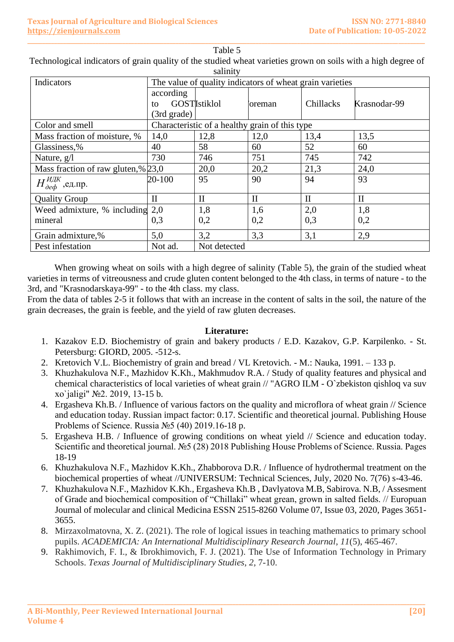| saiinity                               |                                                          |                                                |                |              |              |  |  |  |
|----------------------------------------|----------------------------------------------------------|------------------------------------------------|----------------|--------------|--------------|--|--|--|
| Indicators                             | The value of quality indicators of wheat grain varieties |                                                |                |              |              |  |  |  |
|                                        | according                                                |                                                |                |              |              |  |  |  |
|                                        | to                                                       | <b>GOSTIstiklol</b>                            | <b>Soreman</b> | Chillacks    | Krasnodar-99 |  |  |  |
|                                        | (3rd grade)                                              |                                                |                |              |              |  |  |  |
| Color and smell                        |                                                          | Characteristic of a healthy grain of this type |                |              |              |  |  |  |
| Mass fraction of moisture, %           | 14,0                                                     | 12,8                                           | 12,0           | 13,4         | 13,5         |  |  |  |
| Glassiness,%                           | 40                                                       | 58                                             | 60             | 52           | 60           |  |  |  |
| Nature, g/l                            | 730                                                      | 746                                            | 751            | 745          | 742          |  |  |  |
| Mass fraction of raw gluten, % $23,0$  |                                                          | 20,0                                           | 20,2           | 21,3         | 24,0         |  |  |  |
| $H_{\partial e\phi}^{H\!J\!K}$ ,ед.пр. | 20-100                                                   | 95                                             | 90             | 94           | 93           |  |  |  |
| <b>Quality Group</b>                   | $\mathbf{I}$                                             | $\mathbf H$                                    | $\mathbf{I}$   | $\mathbf{I}$ | $\mathbf{I}$ |  |  |  |
| Weed admixture, $%$ including 2,0      |                                                          | 1,8                                            | 1,6            | 2,0          | 1,8          |  |  |  |
| mineral                                | 0,3                                                      | 0,2                                            | 0,2            | 0,3          | 0,2          |  |  |  |
| Grain admixture,%                      | 5,0                                                      | 3,2                                            | 3,3            | 3,1          | 2,9          |  |  |  |
| Pest infestation                       | Not ad.                                                  | Not detected                                   |                |              |              |  |  |  |

Table 5 Technological indicators of grain quality of the studied wheat varieties grown on soils with a high degree of salinity

**\_\_\_\_\_\_\_\_\_\_\_\_\_\_\_\_\_\_\_\_\_\_\_\_\_\_\_\_\_\_\_\_\_\_\_\_\_\_\_\_\_\_\_\_\_\_\_\_\_\_\_\_\_\_\_\_\_\_\_\_\_\_\_\_\_\_\_\_\_\_\_\_\_\_\_\_\_\_\_\_\_\_\_\_\_\_\_\_\_\_\_\_\_\_\_\_\_\_\_\_\_\_\_\_\_\_\_\_\_\_\_\_\_\_\_\_\_\_\_\_\_\_\_\_\_\_\_\_\_\_\_\_\_\_**

When growing wheat on soils with a high degree of salinity (Table 5), the grain of the studied wheat varieties in terms of vitreousness and crude gluten content belonged to the 4th class, in terms of nature - to the 3rd, and "Krasnodarskaya-99" - to the 4th class. my class.

From the data of tables 2-5 it follows that with an increase in the content of salts in the soil, the nature of the grain decreases, the grain is feeble, and the yield of raw gluten decreases.

### **Literature:**

- 1. Kazakov E.D. Biochemistry of grain and bakery products / E.D. Kazakov, G.P. Karpilenko. St. Petersburg: GIORD, 2005. -512-s.
- 2. Kretovich V.L. Biochemistry of grain and bread / VL Kretovich. M.: Nauka, 1991. 133 p.
- 3. Khuzhakulova N.F., Mazhidov K.Kh., Makhmudov R.A. / Study of quality features and physical and chemical characteristics of local varieties of wheat grain // "AGRO ILM - O`zbekiston qishloq va suv xo`jaligi" №2. 2019, 13-15 b.
- 4. Ergasheva Kh.B. / Influence of various factors on the quality and microflora of wheat grain // Science and education today. Russian impact factor: 0.17. Scientific and theoretical journal. Publishing House Problems of Science. Russia №5 (40) 2019.16-18 p.
- 5. Ergasheva H.B. / Influence of growing conditions on wheat yield // Science and education today. Scientific and theoretical journal. №5 (28) 2018 Publishing House Problems of Science. Russia. Pages 18-19
- 6. Khuzhakulova N.F., Mazhidov K.Kh., Zhabborova D.R. / Influence of hydrothermal treatment on the biochemical properties of wheat //UNIVERSUM: Technical Sciences, July, 2020 No. 7(76) s-43-46.
- 7. Khuzhakulova N.F., Mazhidov K.Kh., Ergasheva Kh.B , Davlyatova M.B, Sabirova. N.B, / Assesment of Grade and biochemical composition of "Chillaki" wheat grean, grown in salted fields. // Europuan Journal of molecular and clinical Medicina ESSN 2515-8260 Volume 07, Issue 03, 2020, Pages 3651- 3655.
- 8. Mirzaxolmatovna, X. Z. (2021). The role of logical issues in teaching mathematics to primary school pupils. *ACADEMICIA: An International Multidisciplinary Research Journal*, *11*(5), 465-467.
- 9. Rakhimovich, F. I., & Ibrokhimovich, F. J. (2021). The Use of Information Technology in Primary Schools. *Texas Journal of Multidisciplinary Studies*, *2*, 7-10.

**\_\_\_\_\_\_\_\_\_\_\_\_\_\_\_\_\_\_\_\_\_\_\_\_\_\_\_\_\_\_\_\_\_\_\_\_\_\_\_\_\_\_\_\_\_\_\_\_\_\_\_\_\_\_\_\_\_\_\_\_\_\_\_\_\_\_\_\_\_\_\_\_\_\_\_\_\_\_\_\_\_\_\_\_\_\_\_\_\_\_\_\_\_\_\_\_\_\_\_\_\_\_\_\_\_\_\_\_\_\_\_\_\_\_\_\_\_\_\_\_\_\_\_\_\_\_\_\_**